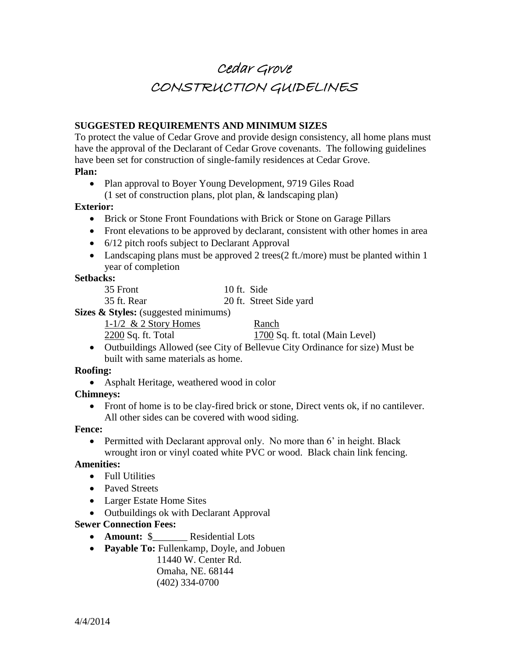# Cedar Grove CONSTRUCTION GUIDELINES

# **SUGGESTED REQUIREMENTS AND MINIMUM SIZES**

To protect the value of Cedar Grove and provide design consistency, all home plans must have the approval of the Declarant of Cedar Grove covenants. The following guidelines have been set for construction of single-family residences at Cedar Grove.

#### **Plan:**

• Plan approval to Boyer Young Development, 9719 Giles Road (1 set of construction plans, plot plan, & landscaping plan)

#### **Exterior:**

- Brick or Stone Front Foundations with Brick or Stone on Garage Pillars
- Front elevations to be approved by declarant, consistent with other homes in area
- 6/12 pitch roofs subject to Declarant Approval
- Landscaping plans must be approved 2 trees(2 ft./more) must be planted within 1 year of completion

#### **Setbacks:**

| 35 Front    | 10 ft. Side             |
|-------------|-------------------------|
| 35 ft. Rear | 20 ft. Street Side yard |

**Sizes & Styles:** (suggested minimums)

1-1/2  $\&$  2 Story Homes Ranch

 $2200$  Sq. ft. Total  $1700$  Sq. ft. total (Main Level)

 Outbuildings Allowed (see City of Bellevue City Ordinance for size) Must be built with same materials as home.

### **Roofing:**

Asphalt Heritage, weathered wood in color

### **Chimneys:**

• Front of home is to be clay-fired brick or stone, Direct vents ok, if no cantilever. All other sides can be covered with wood siding.

### **Fence:**

• Permitted with Declarant approval only. No more than 6' in height. Black wrought iron or vinyl coated white PVC or wood. Black chain link fencing.

### **Amenities:**

- Full Utilities
- Paved Streets
- Larger Estate Home Sites
- Outbuildings ok with Declarant Approval

# **Sewer Connection Fees:**

- **Amount:** \$ Residential Lots
- **Payable To:** Fullenkamp, Doyle, and Jobuen
	- 11440 W. Center Rd. Omaha, NE. 68144 (402) 334-0700